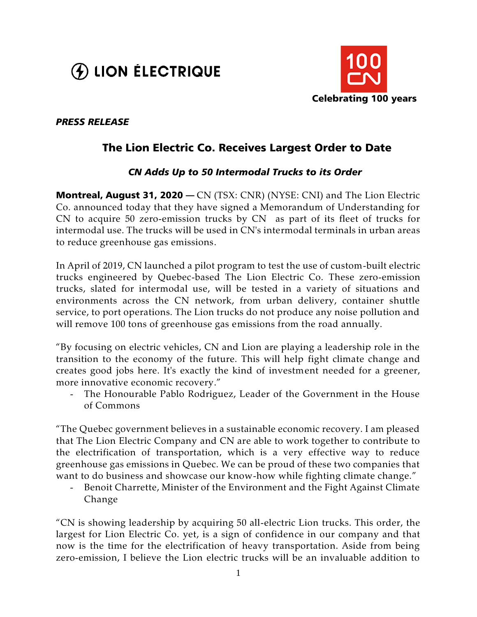



### *PRESS RELEASE*

# The Lion Electric Co. Receives Largest Order to Date

## *CN Adds Up to 50 Intermodal Trucks to its Order*

**Montreal, August 31, 2020** — CN (TSX: CNR) (NYSE: CNI) and The Lion Electric Co. announced today that they have signed a Memorandum of Understanding for CN to acquire 50 zero-emission trucks by CN as part of its fleet of trucks for intermodal use. The trucks will be used in CN's intermodal terminals in urban areas to reduce greenhouse gas emissions.

In April of 2019, CN launched a pilot program to test the use of custom-built electric trucks engineered by Quebec-based The Lion Electric Co. These zero-emission trucks, slated for intermodal use, will be tested in a variety of situations and environments across the CN network, from urban delivery, container shuttle service, to port operations. The Lion trucks do not produce any noise pollution and will remove 100 tons of greenhouse gas emissions from the road annually.

"By focusing on electric vehicles, CN and Lion are playing a leadership role in the transition to the economy of the future. This will help fight climate change and creates good jobs here. It's exactly the kind of investment needed for a greener, more innovative economic recovery."

The Honourable Pablo Rodriguez, Leader of the Government in the House of Commons

"The Quebec government believes in a sustainable economic recovery. I am pleased that The Lion Electric Company and CN are able to work together to contribute to the electrification of transportation, which is a very effective way to reduce greenhouse gas emissions in Quebec. We can be proud of these two companies that want to do business and showcase our know-how while fighting climate change."

Benoit Charrette, Minister of the Environment and the Fight Against Climate Change

"CN is showing leadership by acquiring 50 all-electric Lion trucks. This order, the largest for Lion Electric Co. yet, is a sign of confidence in our company and that now is the time for the electrification of heavy transportation. Aside from being zero-emission, I believe the Lion electric trucks will be an invaluable addition to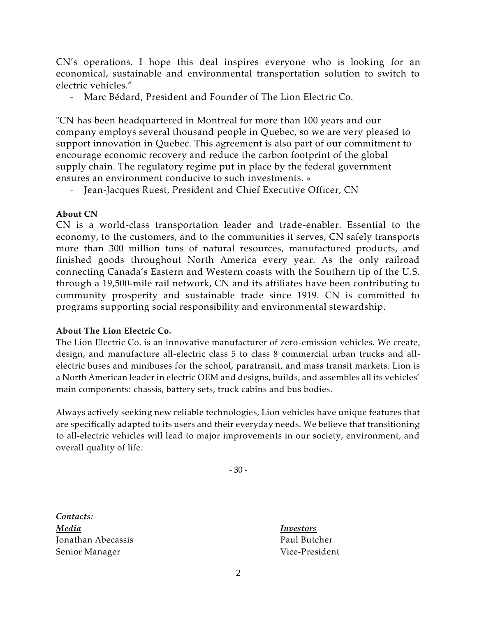CN's operations. I hope this deal inspires everyone who is looking for an economical, sustainable and environmental transportation solution to switch to electric vehicles."

- Marc Bédard, President and Founder of The Lion Electric Co.

"CN has been headquartered in Montreal for more than 100 years and our company employs several thousand people in Quebec, so we are very pleased to support innovation in Quebec. This agreement is also part of our commitment to encourage economic recovery and reduce the carbon footprint of the global supply chain. The regulatory regime put in place by the federal government ensures an environment conducive to such investments. »

- Jean-Jacques Ruest, President and Chief Executive Officer, CN

#### **About CN**

CN is a world-class transportation leader and trade-enabler. Essential to the economy, to the customers, and to the communities it serves, CN safely transports more than 300 million tons of natural resources, manufactured products, and finished goods throughout North America every year. As the only railroad connecting Canada's Eastern and Western coasts with the Southern tip of the U.S. through a 19,500-mile rail network, CN and its affiliates have been contributing to community prosperity and sustainable trade since 1919. CN is committed to programs supporting social responsibility and environmental stewardship.

#### **About The Lion Electric Co.**

The Lion Electric Co. is an innovative manufacturer of zero-emission vehicles. We create, design, and manufacture all-electric class 5 to class 8 commercial urban trucks and allelectric buses and minibuses for the school, paratransit, and mass transit markets. Lion is a North American leader in electric OEM and designs, builds, and assembles all its vehicles' main components: chassis, battery sets, truck cabins and bus bodies.

Always actively seeking new reliable technologies, Lion vehicles have unique features that are specifically adapted to its users and their everyday needs. We believe that transitioning to all-electric vehicles will lead to major improvements in our society, environment, and overall quality of life.

- 30 -

*Contacts: Media Investors* Jonathan Abecassis **Paul Butcher** Senior Manager Vice-President